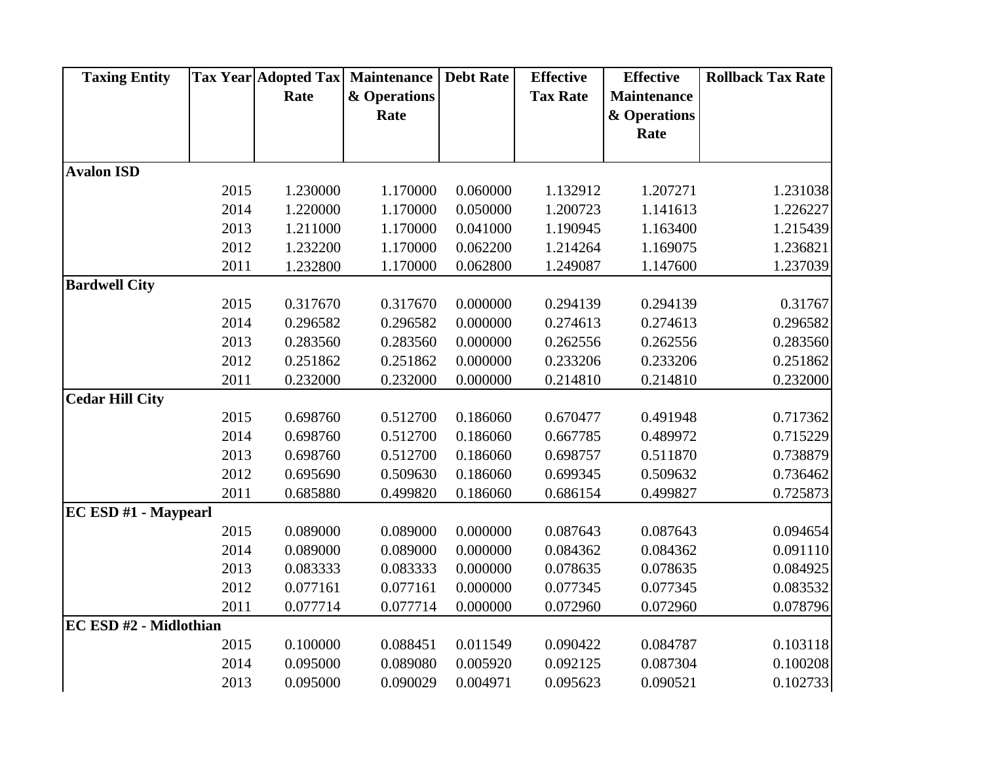| <b>Taxing Entity</b>   |      |          | <b>Tax Year Adopted Tax Maintenance</b> | <b>Debt Rate</b> | <b>Effective</b> | <b>Effective</b>   | <b>Rollback Tax Rate</b> |
|------------------------|------|----------|-----------------------------------------|------------------|------------------|--------------------|--------------------------|
|                        |      | Rate     | & Operations                            |                  | <b>Tax Rate</b>  | <b>Maintenance</b> |                          |
|                        |      |          | Rate                                    |                  |                  | & Operations       |                          |
|                        |      |          |                                         |                  |                  | Rate               |                          |
|                        |      |          |                                         |                  |                  |                    |                          |
| <b>Avalon ISD</b>      |      |          |                                         |                  |                  |                    |                          |
|                        | 2015 | 1.230000 | 1.170000                                | 0.060000         | 1.132912         | 1.207271           | 1.231038                 |
|                        | 2014 | 1.220000 | 1.170000                                | 0.050000         | 1.200723         | 1.141613           | 1.226227                 |
|                        | 2013 | 1.211000 | 1.170000                                | 0.041000         | 1.190945         | 1.163400           | 1.215439                 |
|                        | 2012 | 1.232200 | 1.170000                                | 0.062200         | 1.214264         | 1.169075           | 1.236821                 |
|                        | 2011 | 1.232800 | 1.170000                                | 0.062800         | 1.249087         | 1.147600           | 1.237039                 |
| <b>Bardwell City</b>   |      |          |                                         |                  |                  |                    |                          |
|                        | 2015 | 0.317670 | 0.317670                                | 0.000000         | 0.294139         | 0.294139           | 0.31767                  |
|                        | 2014 | 0.296582 | 0.296582                                | 0.000000         | 0.274613         | 0.274613           | 0.296582                 |
|                        | 2013 | 0.283560 | 0.283560                                | 0.000000         | 0.262556         | 0.262556           | 0.283560                 |
|                        | 2012 | 0.251862 | 0.251862                                | 0.000000         | 0.233206         | 0.233206           | 0.251862                 |
|                        | 2011 | 0.232000 | 0.232000                                | 0.000000         | 0.214810         | 0.214810           | 0.232000                 |
| <b>Cedar Hill City</b> |      |          |                                         |                  |                  |                    |                          |
|                        | 2015 | 0.698760 | 0.512700                                | 0.186060         | 0.670477         | 0.491948           | 0.717362                 |
|                        | 2014 | 0.698760 | 0.512700                                | 0.186060         | 0.667785         | 0.489972           | 0.715229                 |
|                        | 2013 | 0.698760 | 0.512700                                | 0.186060         | 0.698757         | 0.511870           | 0.738879                 |
|                        | 2012 | 0.695690 | 0.509630                                | 0.186060         | 0.699345         | 0.509632           | 0.736462                 |
|                        | 2011 | 0.685880 | 0.499820                                | 0.186060         | 0.686154         | 0.499827           | 0.725873                 |
| EC ESD #1 - Maypearl   |      |          |                                         |                  |                  |                    |                          |
|                        | 2015 | 0.089000 | 0.089000                                | 0.000000         | 0.087643         | 0.087643           | 0.094654                 |
|                        | 2014 | 0.089000 | 0.089000                                | 0.000000         | 0.084362         | 0.084362           | 0.091110                 |
|                        | 2013 | 0.083333 | 0.083333                                | 0.000000         | 0.078635         | 0.078635           | 0.084925                 |
|                        | 2012 | 0.077161 | 0.077161                                | 0.000000         | 0.077345         | 0.077345           | 0.083532                 |
|                        | 2011 | 0.077714 | 0.077714                                | 0.000000         | 0.072960         | 0.072960           | 0.078796                 |
| EC ESD #2 - Midlothian |      |          |                                         |                  |                  |                    |                          |
|                        | 2015 | 0.100000 | 0.088451                                | 0.011549         | 0.090422         | 0.084787           | 0.103118                 |
|                        | 2014 | 0.095000 | 0.089080                                | 0.005920         | 0.092125         | 0.087304           | 0.100208                 |
|                        | 2013 | 0.095000 | 0.090029                                | 0.004971         | 0.095623         | 0.090521           | 0.102733                 |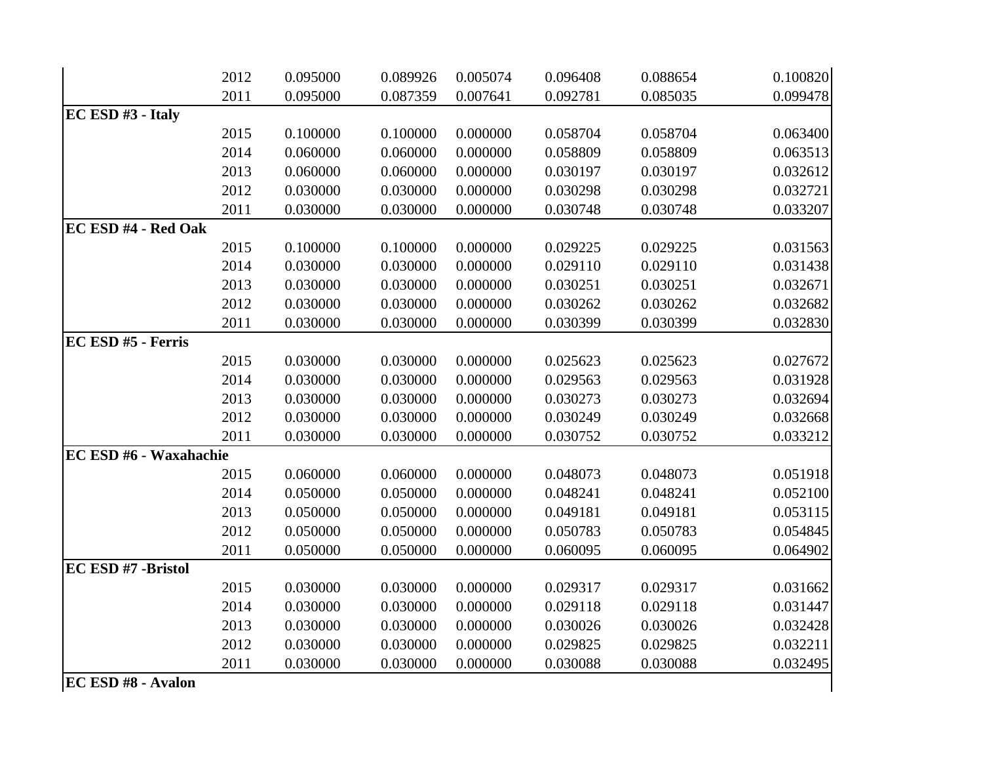|                           | 2012 | 0.095000 | 0.089926 | 0.005074 | 0.096408 | 0.088654 | 0.100820 |
|---------------------------|------|----------|----------|----------|----------|----------|----------|
|                           | 2011 | 0.095000 | 0.087359 | 0.007641 | 0.092781 | 0.085035 | 0.099478 |
| EC ESD #3 - Italy         |      |          |          |          |          |          |          |
|                           | 2015 | 0.100000 | 0.100000 | 0.000000 | 0.058704 | 0.058704 | 0.063400 |
|                           | 2014 | 0.060000 | 0.060000 | 0.000000 | 0.058809 | 0.058809 | 0.063513 |
|                           | 2013 | 0.060000 | 0.060000 | 0.000000 | 0.030197 | 0.030197 | 0.032612 |
|                           | 2012 | 0.030000 | 0.030000 | 0.000000 | 0.030298 | 0.030298 | 0.032721 |
|                           | 2011 | 0.030000 | 0.030000 | 0.000000 | 0.030748 | 0.030748 | 0.033207 |
| EC ESD #4 - Red Oak       |      |          |          |          |          |          |          |
|                           | 2015 | 0.100000 | 0.100000 | 0.000000 | 0.029225 | 0.029225 | 0.031563 |
|                           | 2014 | 0.030000 | 0.030000 | 0.000000 | 0.029110 | 0.029110 | 0.031438 |
|                           | 2013 | 0.030000 | 0.030000 | 0.000000 | 0.030251 | 0.030251 | 0.032671 |
|                           | 2012 | 0.030000 | 0.030000 | 0.000000 | 0.030262 | 0.030262 | 0.032682 |
|                           | 2011 | 0.030000 | 0.030000 | 0.000000 | 0.030399 | 0.030399 | 0.032830 |
| EC ESD #5 - Ferris        |      |          |          |          |          |          |          |
|                           | 2015 | 0.030000 | 0.030000 | 0.000000 | 0.025623 | 0.025623 | 0.027672 |
|                           | 2014 | 0.030000 | 0.030000 | 0.000000 | 0.029563 | 0.029563 | 0.031928 |
|                           | 2013 | 0.030000 | 0.030000 | 0.000000 | 0.030273 | 0.030273 | 0.032694 |
|                           | 2012 | 0.030000 | 0.030000 | 0.000000 | 0.030249 | 0.030249 | 0.032668 |
|                           | 2011 | 0.030000 | 0.030000 | 0.000000 | 0.030752 | 0.030752 | 0.033212 |
| EC ESD #6 - Waxahachie    |      |          |          |          |          |          |          |
|                           | 2015 | 0.060000 | 0.060000 | 0.000000 | 0.048073 | 0.048073 | 0.051918 |
|                           | 2014 | 0.050000 | 0.050000 | 0.000000 | 0.048241 | 0.048241 | 0.052100 |
|                           | 2013 | 0.050000 | 0.050000 | 0.000000 | 0.049181 | 0.049181 | 0.053115 |
|                           | 2012 | 0.050000 | 0.050000 | 0.000000 | 0.050783 | 0.050783 | 0.054845 |
|                           | 2011 | 0.050000 | 0.050000 | 0.000000 | 0.060095 | 0.060095 | 0.064902 |
| EC ESD #7 -Bristol        |      |          |          |          |          |          |          |
|                           | 2015 | 0.030000 | 0.030000 | 0.000000 | 0.029317 | 0.029317 | 0.031662 |
|                           | 2014 | 0.030000 | 0.030000 | 0.000000 | 0.029118 | 0.029118 | 0.031447 |
|                           | 2013 | 0.030000 | 0.030000 | 0.000000 | 0.030026 | 0.030026 | 0.032428 |
|                           | 2012 | 0.030000 | 0.030000 | 0.000000 | 0.029825 | 0.029825 | 0.032211 |
|                           | 2011 | 0.030000 | 0.030000 | 0.000000 | 0.030088 | 0.030088 | 0.032495 |
| <b>EC ESD #8 - Avalon</b> |      |          |          |          |          |          |          |
|                           |      |          |          |          |          |          |          |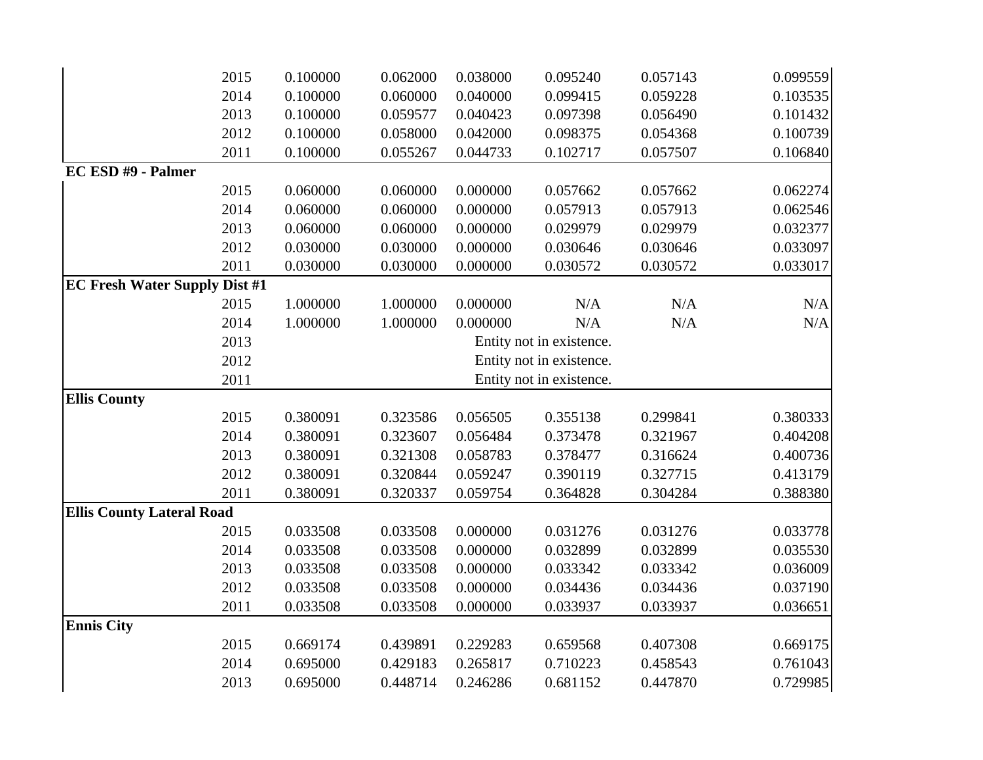|                                      | 2015 | 0.100000 | 0.062000 | 0.038000 | 0.095240                 | 0.057143 | 0.099559 |
|--------------------------------------|------|----------|----------|----------|--------------------------|----------|----------|
|                                      | 2014 | 0.100000 | 0.060000 | 0.040000 | 0.099415                 | 0.059228 | 0.103535 |
|                                      | 2013 | 0.100000 | 0.059577 | 0.040423 | 0.097398                 | 0.056490 | 0.101432 |
|                                      | 2012 | 0.100000 | 0.058000 | 0.042000 | 0.098375                 | 0.054368 | 0.100739 |
|                                      | 2011 | 0.100000 | 0.055267 | 0.044733 | 0.102717                 | 0.057507 | 0.106840 |
| EC ESD #9 - Palmer                   |      |          |          |          |                          |          |          |
|                                      | 2015 | 0.060000 | 0.060000 | 0.000000 | 0.057662                 | 0.057662 | 0.062274 |
|                                      | 2014 | 0.060000 | 0.060000 | 0.000000 | 0.057913                 | 0.057913 | 0.062546 |
|                                      | 2013 | 0.060000 | 0.060000 | 0.000000 | 0.029979                 | 0.029979 | 0.032377 |
|                                      | 2012 | 0.030000 | 0.030000 | 0.000000 | 0.030646                 | 0.030646 | 0.033097 |
|                                      | 2011 | 0.030000 | 0.030000 | 0.000000 | 0.030572                 | 0.030572 | 0.033017 |
| <b>EC Fresh Water Supply Dist #1</b> |      |          |          |          |                          |          |          |
|                                      | 2015 | 1.000000 | 1.000000 | 0.000000 | N/A                      | N/A      | N/A      |
|                                      | 2014 | 1.000000 | 1.000000 | 0.000000 | N/A                      | N/A      | N/A      |
|                                      | 2013 |          |          |          | Entity not in existence. |          |          |
|                                      | 2012 |          |          |          | Entity not in existence. |          |          |
|                                      | 2011 |          |          |          | Entity not in existence. |          |          |
| <b>Ellis County</b>                  |      |          |          |          |                          |          |          |
|                                      | 2015 | 0.380091 | 0.323586 | 0.056505 | 0.355138                 | 0.299841 | 0.380333 |
|                                      | 2014 | 0.380091 | 0.323607 | 0.056484 | 0.373478                 | 0.321967 | 0.404208 |
|                                      | 2013 | 0.380091 | 0.321308 | 0.058783 | 0.378477                 | 0.316624 | 0.400736 |
|                                      | 2012 | 0.380091 | 0.320844 | 0.059247 | 0.390119                 | 0.327715 | 0.413179 |
|                                      | 2011 | 0.380091 | 0.320337 | 0.059754 | 0.364828                 | 0.304284 | 0.388380 |
| <b>Ellis County Lateral Road</b>     |      |          |          |          |                          |          |          |
|                                      | 2015 | 0.033508 | 0.033508 | 0.000000 | 0.031276                 | 0.031276 | 0.033778 |
|                                      | 2014 | 0.033508 | 0.033508 | 0.000000 | 0.032899                 | 0.032899 | 0.035530 |
|                                      | 2013 | 0.033508 | 0.033508 | 0.000000 | 0.033342                 | 0.033342 | 0.036009 |
|                                      | 2012 | 0.033508 | 0.033508 | 0.000000 | 0.034436                 | 0.034436 | 0.037190 |
|                                      | 2011 | 0.033508 | 0.033508 | 0.000000 | 0.033937                 | 0.033937 | 0.036651 |
| <b>Ennis City</b>                    |      |          |          |          |                          |          |          |
|                                      | 2015 | 0.669174 | 0.439891 | 0.229283 | 0.659568                 | 0.407308 | 0.669175 |
|                                      | 2014 | 0.695000 | 0.429183 | 0.265817 | 0.710223                 | 0.458543 | 0.761043 |
|                                      | 2013 | 0.695000 | 0.448714 | 0.246286 | 0.681152                 | 0.447870 | 0.729985 |
|                                      |      |          |          |          |                          |          |          |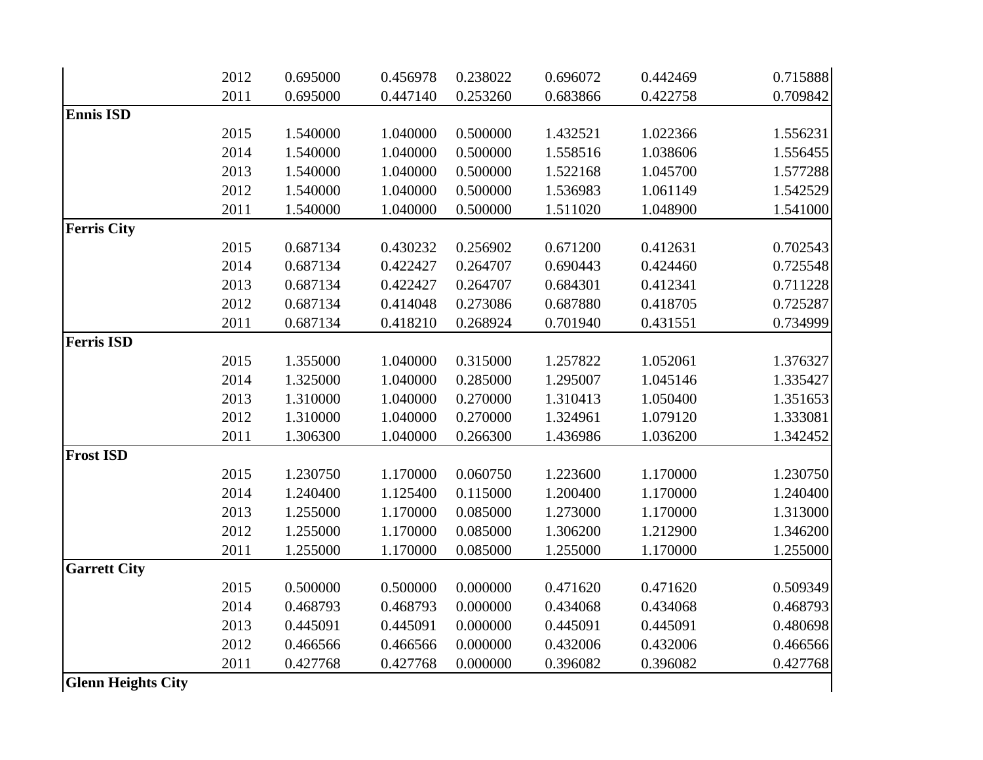|                           | 2012 | 0.695000 | 0.456978 | 0.238022 | 0.696072 | 0.442469 | 0.715888 |
|---------------------------|------|----------|----------|----------|----------|----------|----------|
|                           | 2011 | 0.695000 | 0.447140 | 0.253260 | 0.683866 | 0.422758 | 0.709842 |
| <b>Ennis ISD</b>          |      |          |          |          |          |          |          |
|                           | 2015 | 1.540000 | 1.040000 | 0.500000 | 1.432521 | 1.022366 | 1.556231 |
|                           | 2014 | 1.540000 | 1.040000 | 0.500000 | 1.558516 | 1.038606 | 1.556455 |
|                           | 2013 | 1.540000 | 1.040000 | 0.500000 | 1.522168 | 1.045700 | 1.577288 |
|                           | 2012 | 1.540000 | 1.040000 | 0.500000 | 1.536983 | 1.061149 | 1.542529 |
|                           | 2011 | 1.540000 | 1.040000 | 0.500000 | 1.511020 | 1.048900 | 1.541000 |
| <b>Ferris City</b>        |      |          |          |          |          |          |          |
|                           | 2015 | 0.687134 | 0.430232 | 0.256902 | 0.671200 | 0.412631 | 0.702543 |
|                           | 2014 | 0.687134 | 0.422427 | 0.264707 | 0.690443 | 0.424460 | 0.725548 |
|                           | 2013 | 0.687134 | 0.422427 | 0.264707 | 0.684301 | 0.412341 | 0.711228 |
|                           | 2012 | 0.687134 | 0.414048 | 0.273086 | 0.687880 | 0.418705 | 0.725287 |
|                           | 2011 | 0.687134 | 0.418210 | 0.268924 | 0.701940 | 0.431551 | 0.734999 |
| <b>Ferris ISD</b>         |      |          |          |          |          |          |          |
|                           | 2015 | 1.355000 | 1.040000 | 0.315000 | 1.257822 | 1.052061 | 1.376327 |
|                           | 2014 | 1.325000 | 1.040000 | 0.285000 | 1.295007 | 1.045146 | 1.335427 |
|                           | 2013 | 1.310000 | 1.040000 | 0.270000 | 1.310413 | 1.050400 | 1.351653 |
|                           | 2012 | 1.310000 | 1.040000 | 0.270000 | 1.324961 | 1.079120 | 1.333081 |
|                           | 2011 | 1.306300 | 1.040000 | 0.266300 | 1.436986 | 1.036200 | 1.342452 |
| <b>Frost ISD</b>          |      |          |          |          |          |          |          |
|                           | 2015 | 1.230750 | 1.170000 | 0.060750 | 1.223600 | 1.170000 | 1.230750 |
|                           | 2014 | 1.240400 | 1.125400 | 0.115000 | 1.200400 | 1.170000 | 1.240400 |
|                           | 2013 | 1.255000 | 1.170000 | 0.085000 | 1.273000 | 1.170000 | 1.313000 |
|                           | 2012 | 1.255000 | 1.170000 | 0.085000 | 1.306200 | 1.212900 | 1.346200 |
|                           | 2011 | 1.255000 | 1.170000 | 0.085000 | 1.255000 | 1.170000 | 1.255000 |
| <b>Garrett City</b>       |      |          |          |          |          |          |          |
|                           | 2015 | 0.500000 | 0.500000 | 0.000000 | 0.471620 | 0.471620 | 0.509349 |
|                           | 2014 | 0.468793 | 0.468793 | 0.000000 | 0.434068 | 0.434068 | 0.468793 |
|                           | 2013 | 0.445091 | 0.445091 | 0.000000 | 0.445091 | 0.445091 | 0.480698 |
|                           | 2012 | 0.466566 | 0.466566 | 0.000000 | 0.432006 | 0.432006 | 0.466566 |
|                           | 2011 | 0.427768 | 0.427768 | 0.000000 | 0.396082 | 0.396082 | 0.427768 |
| <b>Glenn Heights City</b> |      |          |          |          |          |          |          |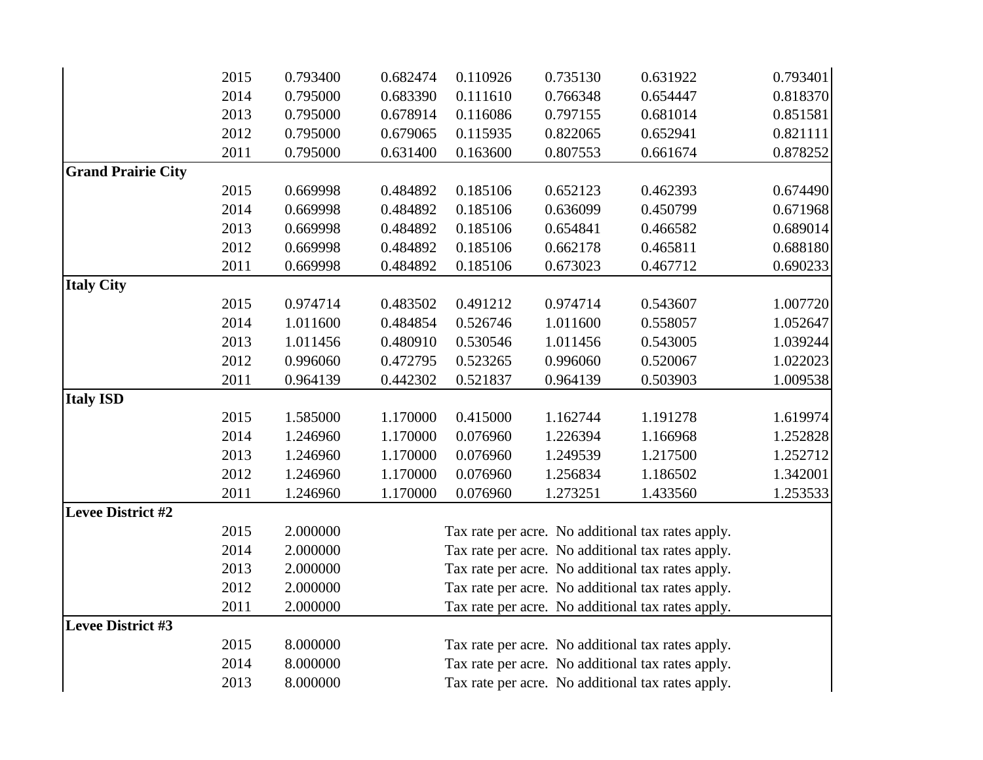|                           | 2015 | 0.793400 | 0.682474 | 0.110926 | 0.735130 | 0.631922                                          | 0.793401 |
|---------------------------|------|----------|----------|----------|----------|---------------------------------------------------|----------|
|                           | 2014 | 0.795000 | 0.683390 | 0.111610 | 0.766348 | 0.654447                                          | 0.818370 |
|                           | 2013 | 0.795000 | 0.678914 | 0.116086 | 0.797155 | 0.681014                                          | 0.851581 |
|                           | 2012 | 0.795000 | 0.679065 | 0.115935 | 0.822065 | 0.652941                                          | 0.821111 |
|                           | 2011 | 0.795000 | 0.631400 | 0.163600 | 0.807553 | 0.661674                                          | 0.878252 |
| <b>Grand Prairie City</b> |      |          |          |          |          |                                                   |          |
|                           | 2015 | 0.669998 | 0.484892 | 0.185106 | 0.652123 | 0.462393                                          | 0.674490 |
|                           | 2014 | 0.669998 | 0.484892 | 0.185106 | 0.636099 | 0.450799                                          | 0.671968 |
|                           | 2013 | 0.669998 | 0.484892 | 0.185106 | 0.654841 | 0.466582                                          | 0.689014 |
|                           | 2012 | 0.669998 | 0.484892 | 0.185106 | 0.662178 | 0.465811                                          | 0.688180 |
|                           | 2011 | 0.669998 | 0.484892 | 0.185106 | 0.673023 | 0.467712                                          | 0.690233 |
| <b>Italy City</b>         |      |          |          |          |          |                                                   |          |
|                           | 2015 | 0.974714 | 0.483502 | 0.491212 | 0.974714 | 0.543607                                          | 1.007720 |
|                           | 2014 | 1.011600 | 0.484854 | 0.526746 | 1.011600 | 0.558057                                          | 1.052647 |
|                           | 2013 | 1.011456 | 0.480910 | 0.530546 | 1.011456 | 0.543005                                          | 1.039244 |
|                           | 2012 | 0.996060 | 0.472795 | 0.523265 | 0.996060 | 0.520067                                          | 1.022023 |
|                           | 2011 | 0.964139 | 0.442302 | 0.521837 | 0.964139 | 0.503903                                          | 1.009538 |
| <b>Italy ISD</b>          |      |          |          |          |          |                                                   |          |
|                           | 2015 | 1.585000 | 1.170000 | 0.415000 | 1.162744 | 1.191278                                          | 1.619974 |
|                           | 2014 | 1.246960 | 1.170000 | 0.076960 | 1.226394 | 1.166968                                          | 1.252828 |
|                           | 2013 | 1.246960 | 1.170000 | 0.076960 | 1.249539 | 1.217500                                          | 1.252712 |
|                           | 2012 | 1.246960 | 1.170000 | 0.076960 | 1.256834 | 1.186502                                          | 1.342001 |
|                           | 2011 | 1.246960 | 1.170000 | 0.076960 | 1.273251 | 1.433560                                          | 1.253533 |
| <b>Levee District #2</b>  |      |          |          |          |          |                                                   |          |
|                           | 2015 | 2.000000 |          |          |          | Tax rate per acre. No additional tax rates apply. |          |
|                           | 2014 | 2.000000 |          |          |          | Tax rate per acre. No additional tax rates apply. |          |
|                           | 2013 | 2.000000 |          |          |          | Tax rate per acre. No additional tax rates apply. |          |
|                           | 2012 | 2.000000 |          |          |          | Tax rate per acre. No additional tax rates apply. |          |
|                           | 2011 | 2.000000 |          |          |          | Tax rate per acre. No additional tax rates apply. |          |
| <b>Levee District #3</b>  |      |          |          |          |          |                                                   |          |
|                           | 2015 | 8.000000 |          |          |          | Tax rate per acre. No additional tax rates apply. |          |
|                           | 2014 | 8.000000 |          |          |          | Tax rate per acre. No additional tax rates apply. |          |
|                           | 2013 | 8.000000 |          |          |          | Tax rate per acre. No additional tax rates apply. |          |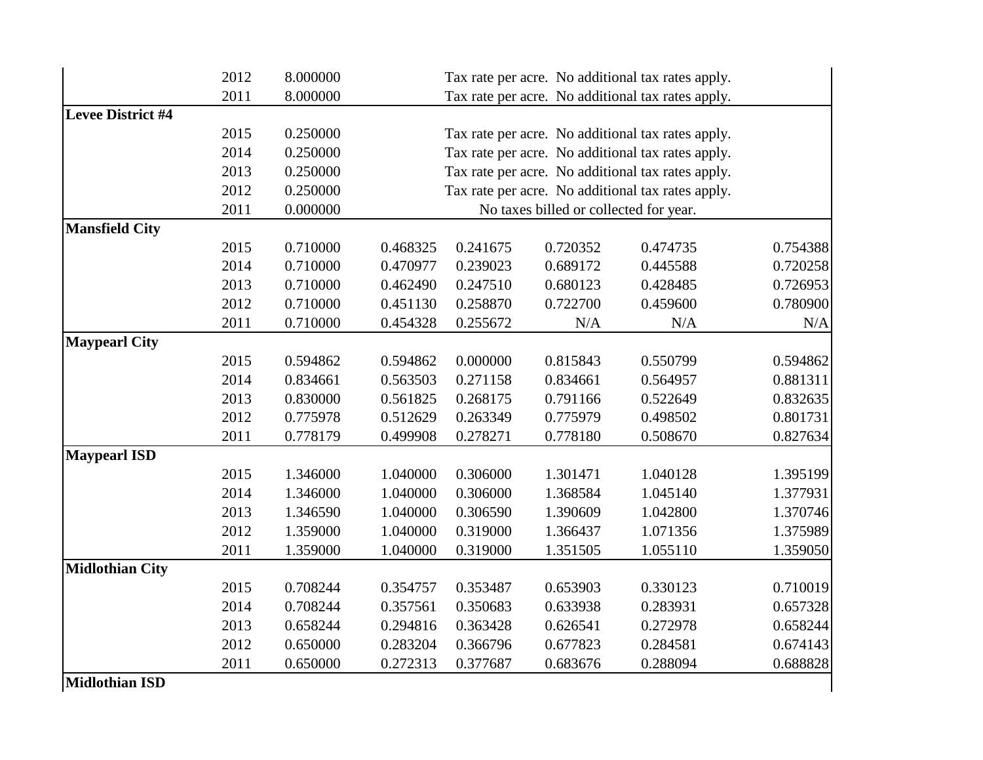|                          | 2012 | 8.000000 |          |          |                                        | Tax rate per acre. No additional tax rates apply. |          |
|--------------------------|------|----------|----------|----------|----------------------------------------|---------------------------------------------------|----------|
|                          | 2011 | 8.000000 |          |          |                                        | Tax rate per acre. No additional tax rates apply. |          |
| <b>Levee District #4</b> |      |          |          |          |                                        |                                                   |          |
|                          | 2015 | 0.250000 |          |          |                                        | Tax rate per acre. No additional tax rates apply. |          |
|                          | 2014 | 0.250000 |          |          |                                        | Tax rate per acre. No additional tax rates apply. |          |
|                          | 2013 | 0.250000 |          |          |                                        | Tax rate per acre. No additional tax rates apply. |          |
|                          | 2012 | 0.250000 |          |          |                                        | Tax rate per acre. No additional tax rates apply. |          |
|                          | 2011 | 0.000000 |          |          | No taxes billed or collected for year. |                                                   |          |
| <b>Mansfield City</b>    |      |          |          |          |                                        |                                                   |          |
|                          | 2015 | 0.710000 | 0.468325 | 0.241675 | 0.720352                               | 0.474735                                          | 0.754388 |
|                          | 2014 | 0.710000 | 0.470977 | 0.239023 | 0.689172                               | 0.445588                                          | 0.720258 |
|                          | 2013 | 0.710000 | 0.462490 | 0.247510 | 0.680123                               | 0.428485                                          | 0.726953 |
|                          | 2012 | 0.710000 | 0.451130 | 0.258870 | 0.722700                               | 0.459600                                          | 0.780900 |
|                          | 2011 | 0.710000 | 0.454328 | 0.255672 | N/A                                    | N/A                                               | N/A      |
| <b>Maypearl City</b>     |      |          |          |          |                                        |                                                   |          |
|                          | 2015 | 0.594862 | 0.594862 | 0.000000 | 0.815843                               | 0.550799                                          | 0.594862 |
|                          | 2014 | 0.834661 | 0.563503 | 0.271158 | 0.834661                               | 0.564957                                          | 0.881311 |
|                          | 2013 | 0.830000 | 0.561825 | 0.268175 | 0.791166                               | 0.522649                                          | 0.832635 |
|                          | 2012 | 0.775978 | 0.512629 | 0.263349 | 0.775979                               | 0.498502                                          | 0.801731 |
|                          | 2011 | 0.778179 | 0.499908 | 0.278271 | 0.778180                               | 0.508670                                          | 0.827634 |
| <b>Maypearl ISD</b>      |      |          |          |          |                                        |                                                   |          |
|                          | 2015 | 1.346000 | 1.040000 | 0.306000 | 1.301471                               | 1.040128                                          | 1.395199 |
|                          | 2014 | 1.346000 | 1.040000 | 0.306000 | 1.368584                               | 1.045140                                          | 1.377931 |
|                          | 2013 | 1.346590 | 1.040000 | 0.306590 | 1.390609                               | 1.042800                                          | 1.370746 |
|                          | 2012 | 1.359000 | 1.040000 | 0.319000 | 1.366437                               | 1.071356                                          | 1.375989 |
|                          | 2011 | 1.359000 | 1.040000 | 0.319000 | 1.351505                               | 1.055110                                          | 1.359050 |
| <b>Midlothian City</b>   |      |          |          |          |                                        |                                                   |          |
|                          | 2015 | 0.708244 | 0.354757 | 0.353487 | 0.653903                               | 0.330123                                          | 0.710019 |
|                          | 2014 | 0.708244 | 0.357561 | 0.350683 | 0.633938                               | 0.283931                                          | 0.657328 |
|                          | 2013 | 0.658244 | 0.294816 | 0.363428 | 0.626541                               | 0.272978                                          | 0.658244 |
|                          | 2012 | 0.650000 | 0.283204 | 0.366796 | 0.677823                               | 0.284581                                          | 0.674143 |
|                          | 2011 | 0.650000 | 0.272313 | 0.377687 | 0.683676                               | 0.288094                                          | 0.688828 |
| <b>Midlothian ISD</b>    |      |          |          |          |                                        |                                                   |          |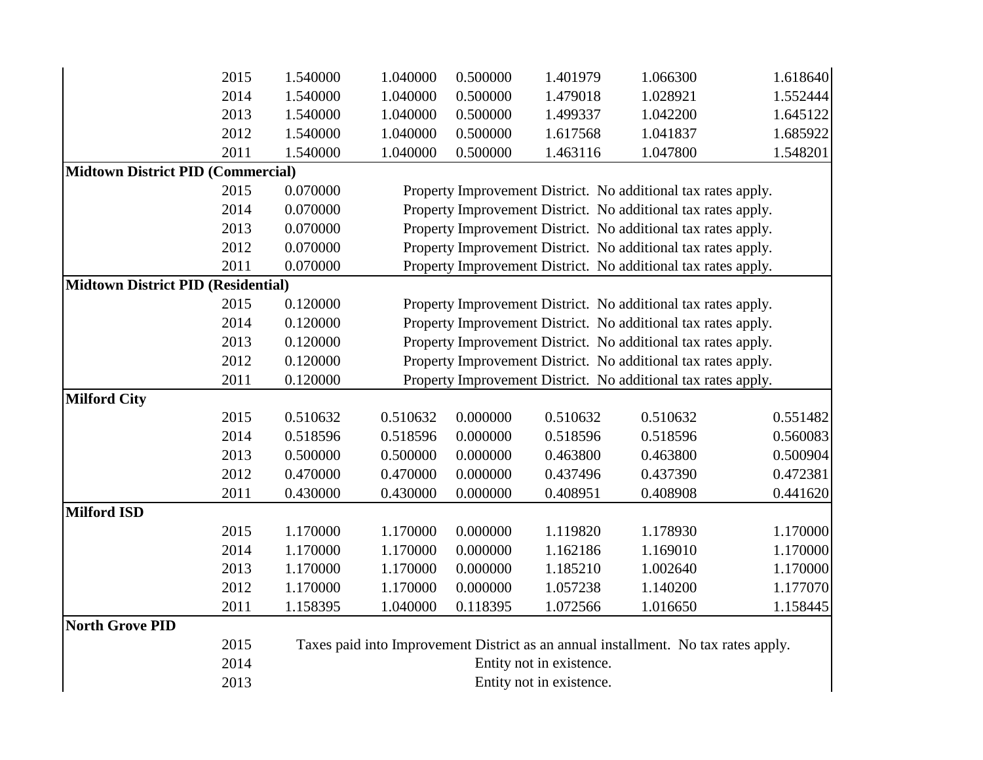|                                           | 2015 | 1.540000                 | 1.040000 | 0.500000 | 1.401979                 | 1.066300                                                                           | 1.618640 |
|-------------------------------------------|------|--------------------------|----------|----------|--------------------------|------------------------------------------------------------------------------------|----------|
|                                           | 2014 | 1.540000                 | 1.040000 | 0.500000 | 1.479018                 | 1.028921                                                                           | 1.552444 |
|                                           | 2013 | 1.540000                 | 1.040000 | 0.500000 | 1.499337                 | 1.042200                                                                           | 1.645122 |
|                                           | 2012 | 1.540000                 | 1.040000 | 0.500000 | 1.617568                 | 1.041837                                                                           | 1.685922 |
|                                           | 2011 | 1.540000                 | 1.040000 | 0.500000 | 1.463116                 | 1.047800                                                                           | 1.548201 |
| <b>Midtown District PID (Commercial)</b>  |      |                          |          |          |                          |                                                                                    |          |
|                                           | 2015 | 0.070000                 |          |          |                          | Property Improvement District. No additional tax rates apply.                      |          |
|                                           | 2014 | 0.070000                 |          |          |                          | Property Improvement District. No additional tax rates apply.                      |          |
|                                           | 2013 | 0.070000                 |          |          |                          | Property Improvement District. No additional tax rates apply.                      |          |
|                                           | 2012 | 0.070000                 |          |          |                          | Property Improvement District. No additional tax rates apply.                      |          |
|                                           | 2011 | 0.070000                 |          |          |                          | Property Improvement District. No additional tax rates apply.                      |          |
| <b>Midtown District PID (Residential)</b> |      |                          |          |          |                          |                                                                                    |          |
|                                           | 2015 | 0.120000                 |          |          |                          | Property Improvement District. No additional tax rates apply.                      |          |
|                                           | 2014 | 0.120000                 |          |          |                          | Property Improvement District. No additional tax rates apply.                      |          |
|                                           | 2013 | 0.120000                 |          |          |                          | Property Improvement District. No additional tax rates apply.                      |          |
|                                           | 2012 | 0.120000                 |          |          |                          | Property Improvement District. No additional tax rates apply.                      |          |
|                                           | 2011 | 0.120000                 |          |          |                          | Property Improvement District. No additional tax rates apply.                      |          |
| <b>Milford City</b>                       |      |                          |          |          |                          |                                                                                    |          |
|                                           | 2015 | 0.510632                 | 0.510632 | 0.000000 | 0.510632                 | 0.510632                                                                           | 0.551482 |
|                                           | 2014 | 0.518596                 | 0.518596 | 0.000000 | 0.518596                 | 0.518596                                                                           | 0.560083 |
|                                           | 2013 | 0.500000                 | 0.500000 | 0.000000 | 0.463800                 | 0.463800                                                                           | 0.500904 |
|                                           | 2012 | 0.470000                 | 0.470000 | 0.000000 | 0.437496                 | 0.437390                                                                           | 0.472381 |
|                                           | 2011 | 0.430000                 | 0.430000 | 0.000000 | 0.408951                 | 0.408908                                                                           | 0.441620 |
| <b>Milford ISD</b>                        |      |                          |          |          |                          |                                                                                    |          |
|                                           | 2015 | 1.170000                 | 1.170000 | 0.000000 | 1.119820                 | 1.178930                                                                           | 1.170000 |
|                                           | 2014 | 1.170000                 | 1.170000 | 0.000000 | 1.162186                 | 1.169010                                                                           | 1.170000 |
|                                           | 2013 | 1.170000                 | 1.170000 | 0.000000 | 1.185210                 | 1.002640                                                                           | 1.170000 |
|                                           | 2012 | 1.170000                 | 1.170000 | 0.000000 | 1.057238                 | 1.140200                                                                           | 1.177070 |
|                                           | 2011 | 1.158395                 | 1.040000 | 0.118395 | 1.072566                 | 1.016650                                                                           | 1.158445 |
| North Grove PID                           |      |                          |          |          |                          |                                                                                    |          |
|                                           | 2015 |                          |          |          |                          | Taxes paid into Improvement District as an annual installment. No tax rates apply. |          |
|                                           | 2014 |                          |          |          | Entity not in existence. |                                                                                    |          |
|                                           | 2013 | Entity not in existence. |          |          |                          |                                                                                    |          |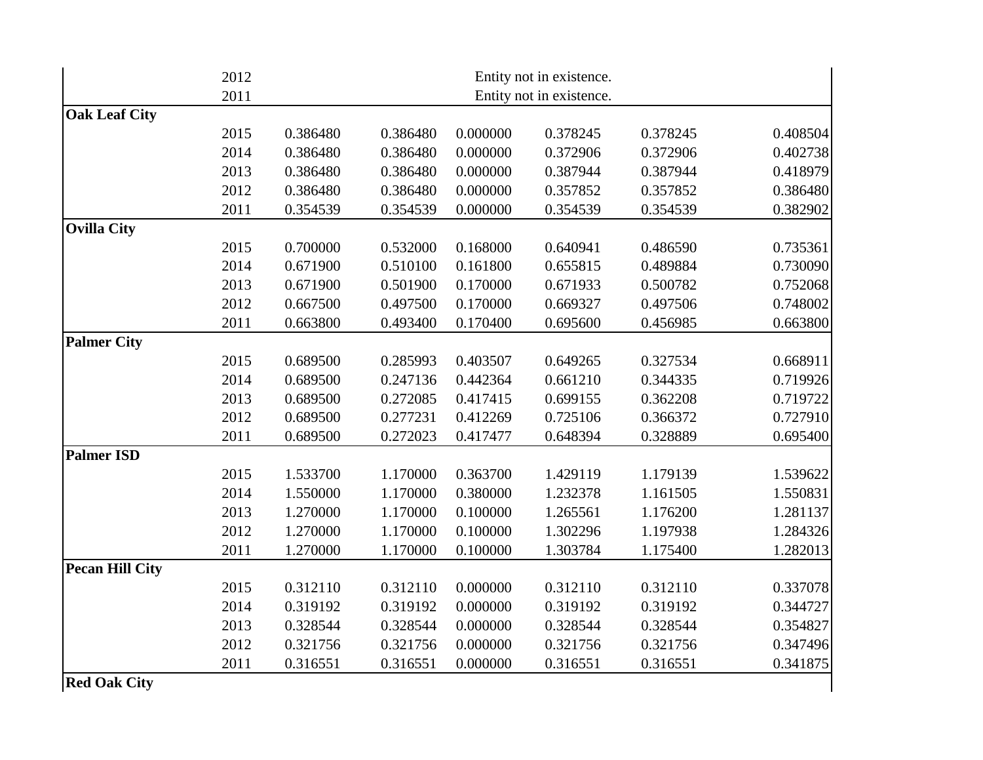|                        | 2012 |          |          |          | Entity not in existence. |          |          |
|------------------------|------|----------|----------|----------|--------------------------|----------|----------|
|                        | 2011 |          |          |          | Entity not in existence. |          |          |
| <b>Oak Leaf City</b>   |      |          |          |          |                          |          |          |
|                        | 2015 | 0.386480 | 0.386480 | 0.000000 | 0.378245                 | 0.378245 | 0.408504 |
|                        | 2014 | 0.386480 | 0.386480 | 0.000000 | 0.372906                 | 0.372906 | 0.402738 |
|                        | 2013 | 0.386480 | 0.386480 | 0.000000 | 0.387944                 | 0.387944 | 0.418979 |
|                        | 2012 | 0.386480 | 0.386480 | 0.000000 | 0.357852                 | 0.357852 | 0.386480 |
|                        | 2011 | 0.354539 | 0.354539 | 0.000000 | 0.354539                 | 0.354539 | 0.382902 |
| <b>Ovilla City</b>     |      |          |          |          |                          |          |          |
|                        | 2015 | 0.700000 | 0.532000 | 0.168000 | 0.640941                 | 0.486590 | 0.735361 |
|                        | 2014 | 0.671900 | 0.510100 | 0.161800 | 0.655815                 | 0.489884 | 0.730090 |
|                        | 2013 | 0.671900 | 0.501900 | 0.170000 | 0.671933                 | 0.500782 | 0.752068 |
|                        | 2012 | 0.667500 | 0.497500 | 0.170000 | 0.669327                 | 0.497506 | 0.748002 |
|                        | 2011 | 0.663800 | 0.493400 | 0.170400 | 0.695600                 | 0.456985 | 0.663800 |
| <b>Palmer City</b>     |      |          |          |          |                          |          |          |
|                        | 2015 | 0.689500 | 0.285993 | 0.403507 | 0.649265                 | 0.327534 | 0.668911 |
|                        | 2014 | 0.689500 | 0.247136 | 0.442364 | 0.661210                 | 0.344335 | 0.719926 |
|                        | 2013 | 0.689500 | 0.272085 | 0.417415 | 0.699155                 | 0.362208 | 0.719722 |
|                        | 2012 | 0.689500 | 0.277231 | 0.412269 | 0.725106                 | 0.366372 | 0.727910 |
|                        | 2011 | 0.689500 | 0.272023 | 0.417477 | 0.648394                 | 0.328889 | 0.695400 |
| <b>Palmer ISD</b>      |      |          |          |          |                          |          |          |
|                        | 2015 | 1.533700 | 1.170000 | 0.363700 | 1.429119                 | 1.179139 | 1.539622 |
|                        | 2014 | 1.550000 | 1.170000 | 0.380000 | 1.232378                 | 1.161505 | 1.550831 |
|                        | 2013 | 1.270000 | 1.170000 | 0.100000 | 1.265561                 | 1.176200 | 1.281137 |
|                        | 2012 | 1.270000 | 1.170000 | 0.100000 | 1.302296                 | 1.197938 | 1.284326 |
|                        | 2011 | 1.270000 | 1.170000 | 0.100000 | 1.303784                 | 1.175400 | 1.282013 |
| <b>Pecan Hill City</b> |      |          |          |          |                          |          |          |
|                        | 2015 | 0.312110 | 0.312110 | 0.000000 | 0.312110                 | 0.312110 | 0.337078 |
|                        | 2014 | 0.319192 | 0.319192 | 0.000000 | 0.319192                 | 0.319192 | 0.344727 |
|                        | 2013 | 0.328544 | 0.328544 | 0.000000 | 0.328544                 | 0.328544 | 0.354827 |
|                        | 2012 | 0.321756 | 0.321756 | 0.000000 | 0.321756                 | 0.321756 | 0.347496 |
|                        | 2011 | 0.316551 | 0.316551 | 0.000000 | 0.316551                 | 0.316551 | 0.341875 |
| <b>Red Oak City</b>    |      |          |          |          |                          |          |          |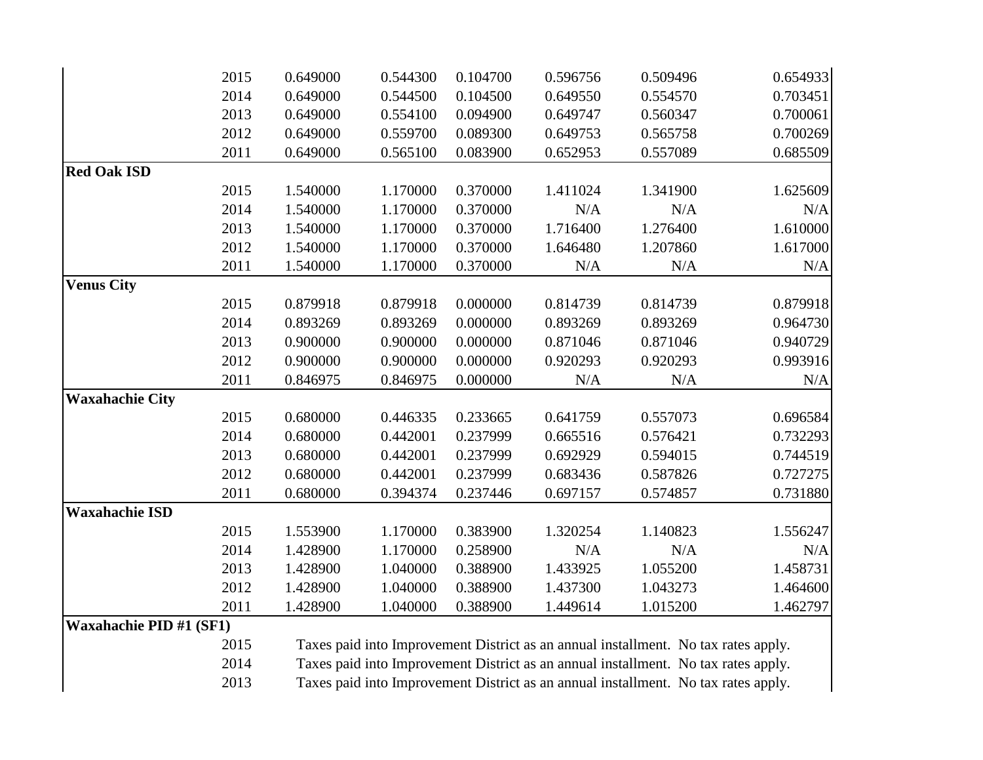|                         | 2015 | 0.649000 | 0.544300 | 0.104700 | 0.596756 | 0.509496 | 0.654933 |
|-------------------------|------|----------|----------|----------|----------|----------|----------|
|                         | 2014 | 0.649000 | 0.544500 | 0.104500 | 0.649550 | 0.554570 | 0.703451 |
|                         | 2013 | 0.649000 | 0.554100 | 0.094900 | 0.649747 | 0.560347 | 0.700061 |
|                         | 2012 | 0.649000 | 0.559700 | 0.089300 | 0.649753 | 0.565758 | 0.700269 |
|                         | 2011 | 0.649000 | 0.565100 | 0.083900 | 0.652953 | 0.557089 | 0.685509 |
| <b>Red Oak ISD</b>      |      |          |          |          |          |          |          |
|                         | 2015 | 1.540000 | 1.170000 | 0.370000 | 1.411024 | 1.341900 | 1.625609 |
|                         | 2014 | 1.540000 | 1.170000 | 0.370000 | N/A      | N/A      | N/A      |
|                         | 2013 | 1.540000 | 1.170000 | 0.370000 | 1.716400 | 1.276400 | 1.610000 |
|                         | 2012 | 1.540000 | 1.170000 | 0.370000 | 1.646480 | 1.207860 | 1.617000 |
|                         | 2011 | 1.540000 | 1.170000 | 0.370000 | N/A      | N/A      | N/A      |
| <b>Venus City</b>       |      |          |          |          |          |          |          |
|                         | 2015 | 0.879918 | 0.879918 | 0.000000 | 0.814739 | 0.814739 | 0.879918 |
|                         | 2014 | 0.893269 | 0.893269 | 0.000000 | 0.893269 | 0.893269 | 0.964730 |
|                         | 2013 | 0.900000 | 0.900000 | 0.000000 | 0.871046 | 0.871046 | 0.940729 |
|                         | 2012 | 0.900000 | 0.900000 | 0.000000 | 0.920293 | 0.920293 | 0.993916 |
|                         | 2011 | 0.846975 | 0.846975 | 0.000000 | N/A      | N/A      | N/A      |
| <b>Waxahachie City</b>  |      |          |          |          |          |          |          |
|                         | 2015 | 0.680000 | 0.446335 | 0.233665 | 0.641759 | 0.557073 | 0.696584 |
|                         | 2014 | 0.680000 | 0.442001 | 0.237999 | 0.665516 | 0.576421 | 0.732293 |
|                         | 2013 | 0.680000 | 0.442001 | 0.237999 | 0.692929 | 0.594015 | 0.744519 |
|                         | 2012 | 0.680000 | 0.442001 | 0.237999 | 0.683436 | 0.587826 | 0.727275 |
|                         | 2011 | 0.680000 | 0.394374 | 0.237446 | 0.697157 | 0.574857 | 0.731880 |
| <b>Waxahachie ISD</b>   |      |          |          |          |          |          |          |
|                         | 2015 | 1.553900 | 1.170000 | 0.383900 | 1.320254 | 1.140823 | 1.556247 |
|                         | 2014 | 1.428900 | 1.170000 | 0.258900 | N/A      | N/A      | N/A      |
|                         | 2013 | 1.428900 | 1.040000 | 0.388900 | 1.433925 | 1.055200 | 1.458731 |
|                         | 2012 | 1.428900 | 1.040000 | 0.388900 | 1.437300 | 1.043273 | 1.464600 |
|                         | 2011 | 1.428900 | 1.040000 | 0.388900 | 1.449614 | 1.015200 | 1.462797 |
| Waxahachie PID #1 (SF1) |      |          |          |          |          |          |          |

 Taxes paid into Improvement District as an annual installment. No tax rates apply.

 Taxes paid into Improvement District as an annual installment. No tax rates apply.

 Taxes paid into Improvement District as an annual installment. No tax rates apply.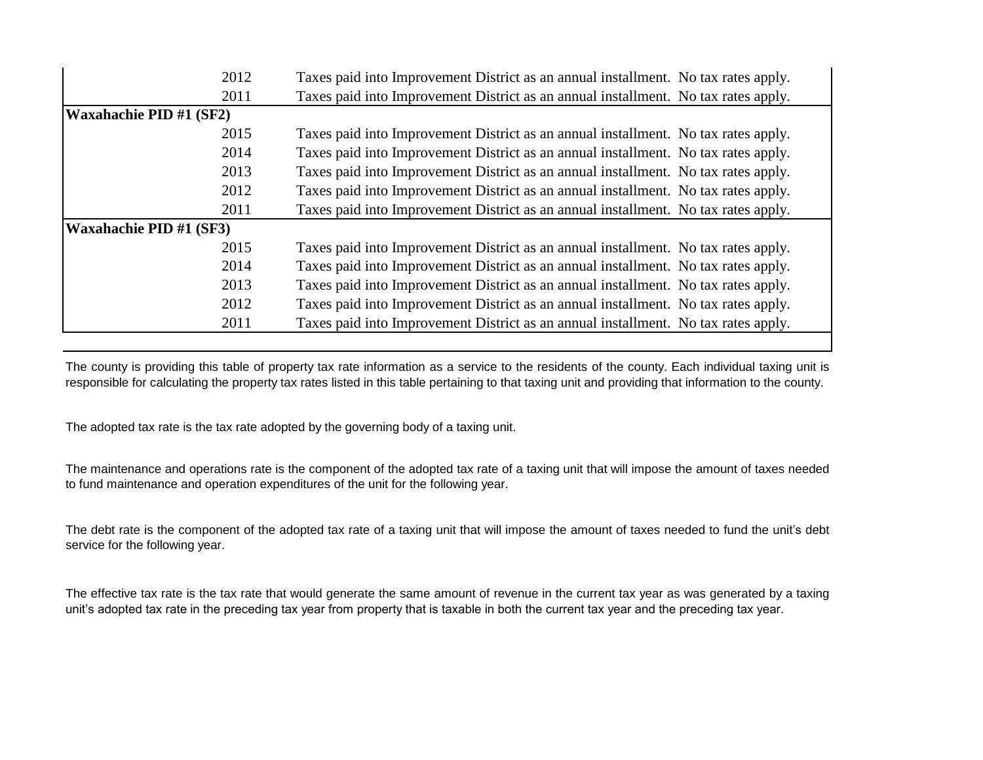| 2012                           | Taxes paid into Improvement District as an annual installment. No tax rates apply. |  |
|--------------------------------|------------------------------------------------------------------------------------|--|
| 2011                           | Taxes paid into Improvement District as an annual installment. No tax rates apply. |  |
| <b>Waxahachie PID #1 (SF2)</b> |                                                                                    |  |
| 2015                           | Taxes paid into Improvement District as an annual installment. No tax rates apply. |  |
| 2014                           | Taxes paid into Improvement District as an annual installment. No tax rates apply. |  |
| 2013                           | Taxes paid into Improvement District as an annual installment. No tax rates apply. |  |
| 2012                           | Taxes paid into Improvement District as an annual installment. No tax rates apply. |  |
| 2011                           | Taxes paid into Improvement District as an annual installment. No tax rates apply. |  |
| Waxahachie PID #1 (SF3)        |                                                                                    |  |
| 2015                           | Taxes paid into Improvement District as an annual installment. No tax rates apply. |  |
| 2014                           | Taxes paid into Improvement District as an annual installment. No tax rates apply. |  |
| 2013                           | Taxes paid into Improvement District as an annual installment. No tax rates apply. |  |
| 2012                           | Taxes paid into Improvement District as an annual installment. No tax rates apply. |  |
| 2011                           | Taxes paid into Improvement District as an annual installment. No tax rates apply. |  |

The county is providing this table of property tax rate information as a service to the residents of the county. Each individual taxing unit is responsible for calculating the property tax rates listed in this table pertaining to that taxing unit and providing that information to the county.

The adopted tax rate is the tax rate adopted by the governing body of a taxing unit.

The maintenance and operations rate is the component of the adopted tax rate of a taxing unit that will impose the amount of taxes needed to fund maintenance and operation expenditures of the unit for the following year.

The debt rate is the component of the adopted tax rate of a taxing unit that will impose the amount of taxes needed to fund the unit's debt service for the following year.

The effective tax rate is the tax rate that would generate the same amount of revenue in the current tax year as was generated by a taxing unit's adopted tax rate in the preceding tax year from property that is taxable in both the current tax year and the preceding tax year.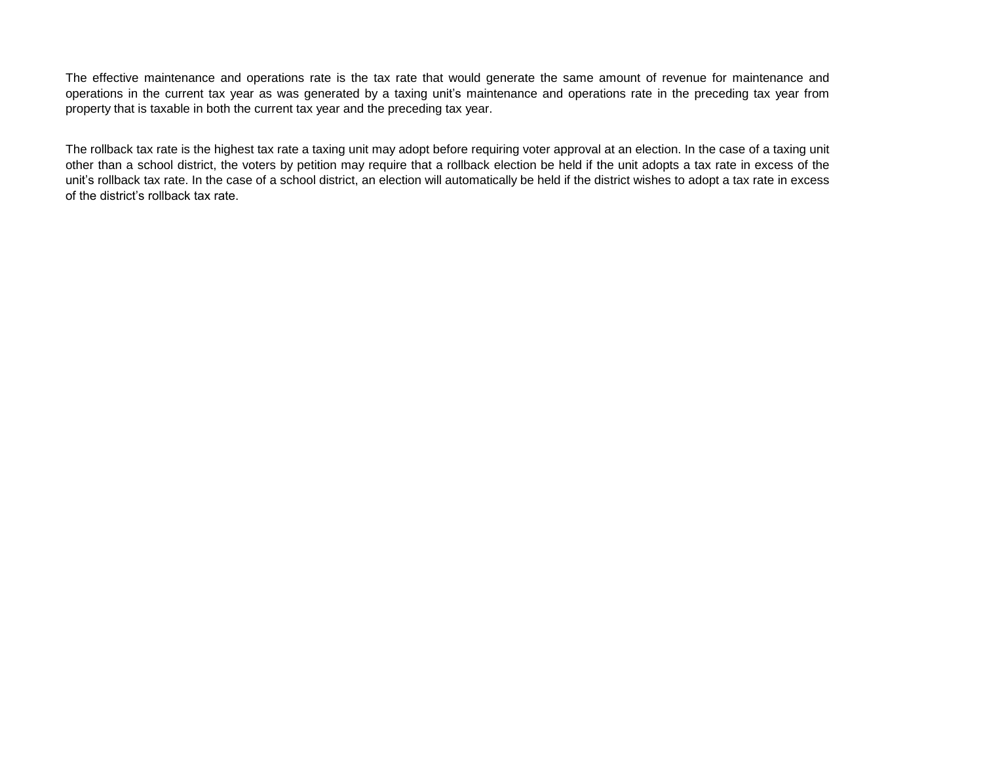The effective maintenance and operations rate is the tax rate that would generate the same amount of revenue for maintenance and operations in the current tax year as was generated by a taxing unit's maintenance and operations rate in the preceding tax year from property that is taxable in both the current tax year and the preceding tax year.

The rollback tax rate is the highest tax rate a taxing unit may adopt before requiring voter approval at an election. In the case of a taxing unit other than a school district, the voters by petition may require that a rollback election be held if the unit adopts a tax rate in excess of the unit's rollback tax rate. In the case of a school district, an election will automatically be held if the district wishes to adopt a tax rate in excess of the district's rollback tax rate.